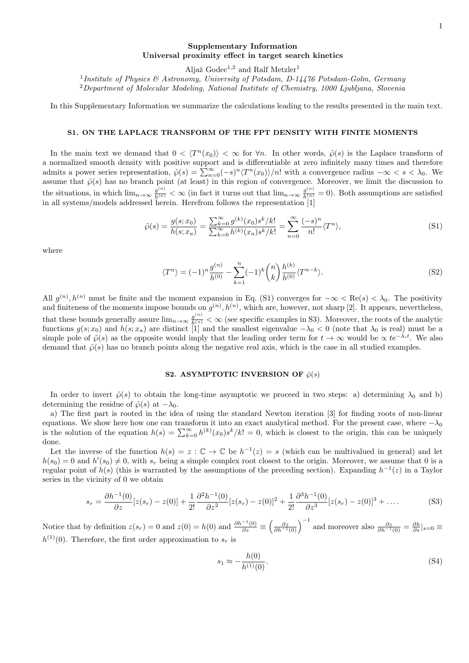# Supplementary Information Universal proximity effect in target search kinetics

Aljaž  $Godec^{1,2}$  and Ralf Metzler<sup>1</sup>

<sup>1</sup>Institute of Physics & Astronomy, University of Potsdam, D-14476 Potsdam-Golm, Germany <sup>2</sup>Department of Molecular Modeling, National Institute of Chemistry, 1000 Ljubljana, Slovenia

In this Supplementary Information we summarize the calculations leading to the results presented in the main text.

### S1. ON THE LAPLACE TRANSFORM OF THE FPT DENSITY WITH FINITE MOMENTS

In the main text we demand that  $0 < \langle T^n(x_0) \rangle < \infty$  for  $\forall n$ . In other words,  $\tilde{\varphi}(s)$  is the Laplace transform of a normalized smooth density with positive support and is differentiable at zero infinitely many times and therefore admits a power series representation,  $\tilde{\varphi}(s) = \sum_{n=0}^{\infty} (-s)^n \langle T^n(x_0) \rangle/n!$  with a convergence radius  $-\infty < s < \lambda_0$ . We assume that  $\tilde{\varphi}(s)$  has no branch point (at least) in this region of convergence. Moreover, we limit the discussion to the situations, in which  $\lim_{n\to\infty} \frac{g^{(n)}}{h^{(n)}} < \infty$  (in fact it turns out that  $\lim_{n\to\infty} \frac{g^{(n)}}{h^{(n)}} = 0$ ). Both assumptions are satisfied in all systems/models addressed herein. Herefrom follows the representation [1]

$$
\tilde{\wp}(s) = \frac{g(s; x_0)}{h(s; x_a)} = \frac{\sum_{k=0}^{\infty} g^{(k)}(x_0) s^k / k!}{\sum_{k=0}^{\infty} h^{(k)}(x_a) s^k / k!} = \sum_{n=0}^{\infty} \frac{(-s)^n}{n!} \langle T^n \rangle,
$$
\n(S1)

where

$$
\langle T^n \rangle = (-1)^n \frac{g^{(n)}}{h^{(0)}} - \sum_{k=1}^n (-1)^k \binom{n}{k} \frac{h^{(k)}}{h^{(0)}} \langle T^{n-k} \rangle. \tag{S2}
$$

All  $g^{(n)}$ ,  $h^{(n)}$  must be finite and the moment expansion in Eq. (S1) converges for  $-\infty < \text{Re}(s) < \lambda_0$ . The positivity and finiteness of the moments impose bounds on  $g^{(n)}$ ,  $h^{(n)}$ , which are, however, not sharp [2]. It appears, nevertheless, that these bounds generally assure  $\lim_{n\to\infty}\frac{g^{(n)}}{h^{(n)}}<\infty$  (see specific examples in S3). Moreover, the roots of the analytic functions  $g(s; x_0)$  and  $h(s; x_a)$  are distinct [1] and the smallest eigenvalue  $-\lambda_0 < 0$  (note that  $\lambda_0$  is real) must be a simple pole of  $\tilde{\varphi}(s)$  as the opposite would imply that the leading order term for  $t \to \infty$  would be  $\propto t e^{-\lambda_i t}$ . We also demand that  $\tilde{\varphi}(s)$  has no branch points along the negative real axis, which is the case in all studied examples.

# S2. ASYMPTOTIC INVERSION OF  $\tilde{\wp}(s)$

In order to invert  $\tilde{\varphi}(s)$  to obtain the long-time asymptotic we proceed in two steps: a) determining  $\lambda_0$  and b) determining the residue of  $\tilde{\varphi}(s)$  at  $-\lambda_0$ .

a) The first part is rooted in the idea of using the standard Newton iteration [3] for finding roots of non-linear equations. We show here how one can transform it into an exact analytical method. For the present case, where  $-\lambda_0$ is the solution of the equation  $h(s) = \sum_{k=0}^{\infty} h^{(k)}(x_0) s^k / k! = 0$ , which is closest to the origin, this can be uniquely done.

Let the inverse of the function  $h(s) = z : \mathbb{C} \to \mathbb{C}$  be  $h^{-1}(z) = s$  (which can be multivalued in general) and let  $h(s_0) = 0$  and  $h'(s_0) \neq 0$ , with  $s_r$  being a simple complex root closest to the origin. Moreover, we assume that 0 is a regular point of  $h(s)$  (this is warranted by the assumptions of the preceding section). Expanding  $h^{-1}(z)$  in a Taylor series in the vicinity of 0 we obtain

$$
s_r = \frac{\partial h^{-1}(0)}{\partial z} [z(s_r) - z(0)] + \frac{1}{2!} \frac{\partial^2 h^{-1}(0)}{\partial z^2} [z(s_r) - z(0)]^2 + \frac{1}{2!} \frac{\partial^3 h^{-1}(0)}{\partial z^3} [z(s_r) - z(0)]^3 + \dots
$$
 (S3)

Notice that by definition  $z(s_r) = 0$  and  $z(0) = h(0)$  and  $\frac{\partial h^{-1}(0)}{\partial z} \equiv \left(\frac{\partial z}{\partial h^{-1}(0)}\right)^{-1}$  and moreover also  $\frac{\partial z}{\partial h^{-1}(0)} = \frac{\partial h}{\partial s}|_{s=0} \equiv$  $h^{(1)}(0)$ . Therefore, the first order approximation to  $s_r$  is

$$
s_1 \approx -\frac{h(0)}{h^{(1)}(0)}.\tag{S4}
$$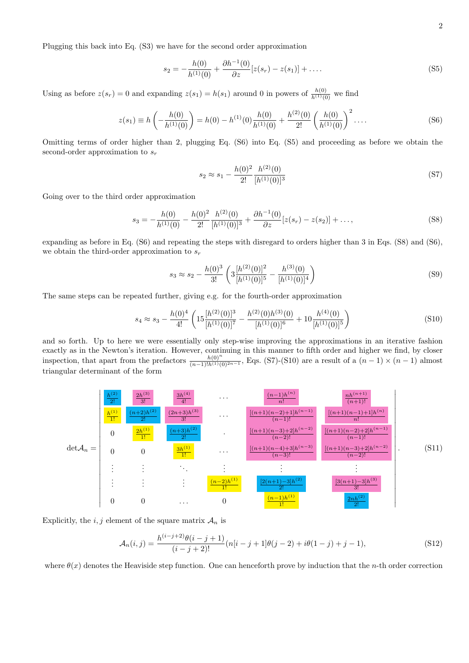Plugging this back into Eq. (S3) we have for the second order approximation

$$
s_2 = -\frac{h(0)}{h^{(1)}(0)} + \frac{\partial h^{-1}(0)}{\partial z} [z(s_r) - z(s_1)] + \dots
$$
\n(S5)

Using as before  $z(s_r) = 0$  and expanding  $z(s_1) = h(s_1)$  around 0 in powers of  $\frac{h(0)}{h^{(1)}(0)}$  we find

$$
z(s_1) \equiv h\left(-\frac{h(0)}{h^{(1)}(0)}\right) = h(0) - h^{(1)}(0)\frac{h(0)}{h^{(1)}(0)} + \frac{h^{(2)}(0)}{2!} \left(\frac{h(0)}{h^{(1)}(0)}\right)^2 \dots
$$
 (S6)

Omitting terms of order higher than 2, plugging Eq. (S6) into Eq. (S5) and proceeding as before we obtain the second-order approximation to  $s_r$ 

$$
s_2 \approx s_1 - \frac{h(0)^2}{2!} \frac{h^{(2)}(0)}{[h^{(1)}(0)]^3}
$$
 (S7)

Going over to the third order approximation

$$
s_3 = -\frac{h(0)}{h^{(1)}(0)} - \frac{h(0)^2}{2!} \frac{h^{(2)}(0)}{[h^{(1)}(0)]^3} + \frac{\partial h^{-1}(0)}{\partial z} [z(s_r) - z(s_2)] + \dots,
$$
\n(S8)

expanding as before in Eq. (S6) and repeating the steps with disregard to orders higher than 3 in Eqs. (S8) and (S6), we obtain the third-order approximation to  $s_r$ 

$$
s_3 \approx s_2 - \frac{h(0)^3}{3!} \left( 3 \frac{[h^{(2)}(0)]^2}{[h^{(1)}(0)]^5} - \frac{h^{(3)}(0)}{[h^{(1)}(0)]^4} \right)
$$
(S9)

The same steps can be repeated further, giving e.g. for the fourth-order approximation

$$
s_4 \approx s_3 - \frac{h(0)^4}{4!} \left( 15 \frac{[h^{(2)}(0)]^3}{[h^{(1)}(0)]^7} - \frac{h^{(2)}(0)h^{(3)}(0)}{[h^{(1)}(0)]^6} + 10 \frac{h^{(4)}(0)}{[h^{(1)}(0)]^5} \right)
$$
(S10)

and so forth. Up to here we were essentially only step-wise improving the approximations in an iterative fashion exactly as in the Newton's iteration. However, continuing in this manner to fifth order and higher we find, by closer inspection, that apart from the prefactors  $\frac{h(0)^n}{(n-1)!h^{(1)}(0)^{2n-1}}$ , Eqs. (S7)-(S10) are a result of a  $(n-1) \times (n-1)$  almost triangular determinant of the form



Explicitly, the i, j element of the square matrix  $A_n$  is

$$
\mathcal{A}_n(i,j) = \frac{h^{(i-j+2)}\theta(i-j+1)}{(i-j+2)!} (n[i-j+1]\theta(j-2) + i\theta(1-j) + j - 1),\tag{S12}
$$

where  $\theta(x)$  denotes the Heaviside step function. One can henceforth prove by induction that the n-th order correction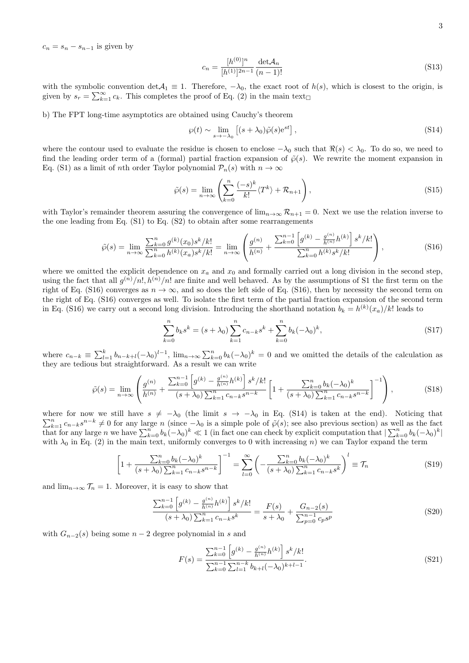$c_n = s_n - s_{n-1}$  is given by

$$
c_n = \frac{[h^{(0)}]^n}{[h^{(1)}]^{2n-1}} \frac{\det \mathcal{A}_n}{(n-1)!}
$$
\n(S13)

with the symbolic convention det $A_1 \equiv 1$ . Therefore,  $-\lambda_0$ , the exact root of  $h(s)$ , which is closest to the origin, is given by  $s_r = \sum_{k=1}^{\infty} c_k$ . This completes the proof of Eq. (2) in the main text

b) The FPT long-time asymptotics are obtained using Cauchy's theorem

$$
\wp(t) \sim \lim_{s \to -\lambda_0} \left[ (s + \lambda_0) \tilde{\wp}(s) e^{st} \right],\tag{S14}
$$

where the contour used to evaluate the residue is chosen to enclose  $-\lambda_0$  such that  $\Re(s) < \lambda_0$ . To do so, we need to find the leading order term of a (formal) partial fraction expansion of  $\tilde{\varphi}(s)$ . We rewrite the moment expansion in Eq. (S1) as a limit of *n*th order Taylor polynomial  $\mathcal{P}_n(s)$  with  $n \to \infty$ 

$$
\tilde{\wp}(s) = \lim_{n \to \infty} \left( \sum_{k=0}^{n} \frac{(-s)^k}{k!} \langle T^k \rangle + \mathcal{R}_{n+1} \right),\tag{S15}
$$

with Taylor's remainder theorem assuring the convergence of  $\lim_{n\to\infty} \mathcal{R}_{n+1} = 0$ . Next we use the relation inverse to the one leading from Eq.  $(S1)$  to Eq.  $(S2)$  to obtain after some rearrangements

$$
\tilde{\wp}(s) = \lim_{n \to \infty} \frac{\sum_{k=0}^{n} g^{(k)}(x_0) s^k / k!}{\sum_{k=0}^{n} h^{(k)}(x_a) s^k / k!} = \lim_{n \to \infty} \left( \frac{g^{(n)}}{h^{(n)}} + \frac{\sum_{k=0}^{n-1} \left[ g^{(k)} - \frac{g^{(n)}}{h^{(n)}} h^{(k)} \right] s^k / k!}{\sum_{k=0}^{n} h^{(k)} s^k / k!} \right),
$$
\n(S16)

where we omitted the explicit dependence on  $x_a$  and  $x_0$  and formally carried out a long division in the second step, using the fact that all  $g^{(n)}/n!$ ,  $h^{(n)}/n!$  are finite and well behaved. As by the assumptions of S1 the first term on the right of Eq. (S16) converges as  $n \to \infty$ , and so does the left side of Eq. (S16), then by necessity the second term on the right of Eq. (S16) converges as well. To isolate the first term of the partial fraction expansion of the second term in Eq. (S16) we carry out a second long division. Introducing the shorthand notation  $b_k = h^{(k)}(x_a)/k!$  leads to

$$
\sum_{k=0}^{n} b_k s^k = (s + \lambda_0) \sum_{k=1}^{n} c_{n-k} s^k + \sum_{k=0}^{n} b_k (-\lambda_0)^k,
$$
\n(S17)

where  $c_{n-k} \equiv \sum_{l=1}^k b_{n-k+l}(-\lambda_0)^{l-1}$ ,  $\lim_{n\to\infty} \sum_{k=0}^n b_k(-\lambda_0)^k = 0$  and we omitted the details of the calculation as they are tedious but straightforward. As a result we can write

$$
\tilde{\wp}(s) = \lim_{n \to \infty} \left( \frac{g^{(n)}}{h^{(n)}} + \frac{\sum_{k=0}^{n-1} \left[ g^{(k)} - \frac{g^{(n)}}{h^{(n)}} h^{(k)} \right] s^k / k!}{(s + \lambda_0) \sum_{k=1}^n c_{n-k} s^{n-k}} \left[ 1 + \frac{\sum_{k=0}^n b_k (-\lambda_0)^k}{(s + \lambda_0) \sum_{k=1}^n c_{n-k} s^{n-k}} \right]^{-1} \right),\tag{S18}
$$

where for now we still have  $s \neq -\lambda_0$  (the limit  $s \to -\lambda_0$  in Eq. (S14) is taken at the end). Noticing that  $\sum_{k=1}^{n} c_{n-k} s^{n-k} \neq 0$  for any large n (since  $-\lambda_0$  is a simple pole of  $\tilde{\varphi}(s)$ ; see also previous section) as well as the fact that for any large n we have  $\sum_{k=0}^{n} b_k(-\lambda_0)^k \ll 1$  (in fact one can check by explicit computation that  $\sum_{k=0}^{n} b_k(-\lambda_0)^k$ ) with  $\lambda_0$  in Eq. (2) in the main text, uniformly converges to 0 with increasing n) we can Taylor expand the term

$$
\left[1 + \frac{\sum_{k=0}^{n} b_k (-\lambda_0)^k}{(s + \lambda_0) \sum_{k=1}^{n} c_{n-k} s^{n-k}}\right]^{-1} = \sum_{l=0}^{\infty} \left(-\frac{\sum_{k=0}^{n} b_k (-\lambda_0)^k}{(s + \lambda_0) \sum_{k=1}^{n} c_{n-k} s^k}\right)^l \equiv \mathcal{T}_n
$$
\n(S19)

and  $\lim_{n\to\infty} \mathcal{T}_n = 1$ . Moreover, it is easy to show that

$$
\frac{\sum_{k=0}^{n-1} \left[ g^{(k)} - \frac{g^{(n)}}{h^{(n)}} h^{(k)} \right] s^k / k!}{(s + \lambda_0) \sum_{k=1}^n c_{n-k} s^k} = \frac{F(s)}{s + \lambda_0} + \frac{G_{n-2}(s)}{\sum_{p=0}^{n-1} c_p s^p}
$$
(S20)

with  $G_{n-2}(s)$  being some  $n-2$  degree polynomial in s and

$$
F(s) = \frac{\sum_{k=0}^{n-1} \left[ g^{(k)} - \frac{g^{(n)}}{h^{(n)}} h^{(k)} \right] s^k / k!}{\sum_{k=0}^{n-1} \sum_{l=1}^{n-k} b_{k+l} (-\lambda_0)^{k+l-1}}.
$$
\n(S21)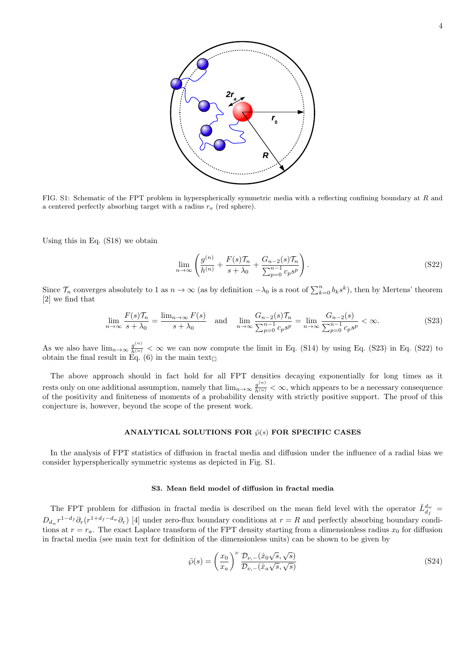

FIG. S1: Schematic of the FPT problem in hyperspherically symmetric media with a reflecting confining boundary at R and a centered perfectly absorbing target with a radius  $r_a$  (red sphere).

Using this in Eq. (S18) we obtain

$$
\lim_{n \to \infty} \left( \frac{g^{(n)}}{h^{(n)}} + \frac{F(s)\mathcal{T}_n}{s + \lambda_0} + \frac{G_{n-2}(s)\mathcal{T}_n}{\sum_{p=0}^{n-1} c_p s^p} \right).
$$
 (S22)

Since  $\mathcal{T}_n$  converges absolutely to 1 as  $n \to \infty$  (as by definition  $-\lambda_0$  is a root of  $\sum_{k=0}^n b_k s^k$ ), then by Mertens' theorem [2] we find that

$$
\lim_{n \to \infty} \frac{F(s)\mathcal{T}_n}{s + \lambda_0} = \frac{\lim_{n \to \infty} F(s)}{s + \lambda_0} \quad \text{and} \quad \lim_{n \to \infty} \frac{G_{n-2}(s)\mathcal{T}_n}{\sum_{p=0}^{n-1} c_p s^p} = \lim_{n \to \infty} \frac{G_{n-2}(s)}{\sum_{p=0}^{n-1} c_p s^p} < \infty. \tag{S23}
$$

As we also have  $\lim_{n\to\infty}\frac{g^{(n)}}{h^{(n)}}<\infty$  we can now compute the limit in Eq. (S14) by using Eq. (S23) in Eq. (S22) to obtain the final result in Eq. (6) in the main text

The above approach should in fact hold for all FPT densities decaying exponentially for long times as it rests only on one additional assumption, namely that  $\lim_{n\to\infty}\frac{g^{(n)}}{h^{(n)}}<\infty$ , which appears to be a necessary consequence of the positivity and finiteness of moments of a probability density with strictly positive support. The proof of this conjecture is, however, beyond the scope of the present work.

### ANALYTICAL SOLUTIONS FOR  $\tilde{\wp}(s)$  FOR SPECIFIC CASES

In the analysis of FPT statistics of diffusion in fractal media and diffusion under the influence of a radial bias we consider hyperspherically symmetric systems as depicted in Fig. S1.

#### S3. Mean field model of diffusion in fractal media

The FPT problem for diffusion in fractal media is described on the mean field level with the operator  $\hat{L}^{d_w}_{d_f}$  $D_{d_w}r^{1-d_f}\partial_r(r^{1+d_f-d_w}\partial_r)$  [4] under zero-flux boundary conditions at  $r = R$  and perfectly absorbing boundary conditions at  $r = r_a$ . The exact Laplace transform of the FPT density starting from a dimensionless radius  $x_0$  for diffusion in fractal media (see main text for definition of the dimensionless units) can be shown to be given by

$$
\tilde{\wp}(s) = \left(\frac{x_0}{x_a}\right)^{\nu} \frac{\mathcal{D}_{\nu,-}(\hat{x}_0\sqrt{s},\sqrt{s})}{\mathcal{D}_{\nu,-}(\hat{x}_a\sqrt{s},\sqrt{s})}
$$
\n(S24)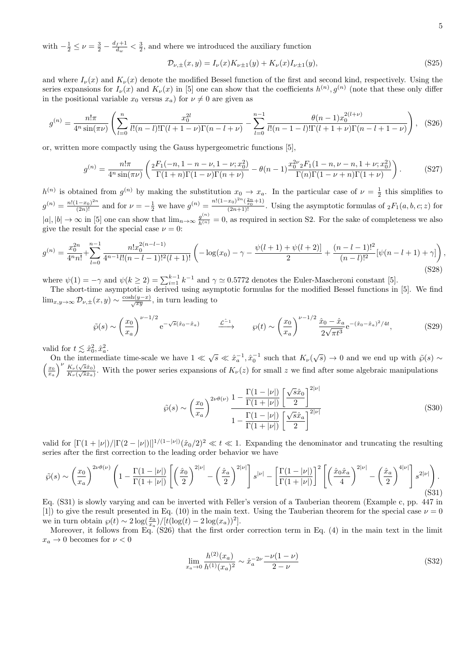with  $-\frac{1}{2} \leq \nu = \frac{3}{2} - \frac{d_f + 1}{d_w}$  $\frac{f+1}{d_w} < \frac{3}{2}$ , and where we introduced the auxiliary function

$$
\mathcal{D}_{\nu,\pm}(x,y) = I_{\nu}(x)K_{\nu\pm 1}(y) + K_{\nu}(x)I_{\nu\pm 1}(y),\tag{S25}
$$

and where  $I_{\nu}(x)$  and  $K_{\nu}(x)$  denote the modified Bessel function of the first and second kind, respectively. Using the series expansions for  $I_{\nu}(x)$  and  $K_{\nu}(x)$  in [5] one can show that the coefficients  $h^{(n)}, g^{(n)}$  (note that these only differ in the positional variable  $x_0$  versus  $x_a$ ) for  $\nu \neq 0$  are given as

$$
g^{(n)} = \frac{n!\pi}{4^n \sin(\pi\nu)} \left( \sum_{l=0}^n \frac{x_0^{2l}}{l!(n-l)!\Gamma(l+1-\nu)\Gamma(n-l+\nu)} - \sum_{l=0}^{n-1} \frac{\theta(n-1)x_0^{2(l+\nu)}}{l!(n-1-l)!\Gamma(l+1+\nu)\Gamma(n-l+1-\nu)} \right), \quad (S26)
$$

or, written more compactly using the Gauss hypergeometric functions [5],

$$
g^{(n)} = \frac{n!\pi}{4^n \sin(\pi\nu)} \left( \frac{{}_2F_1(-n, 1-n-\nu, 1-\nu; x_0^2)}{\Gamma(1+n)\Gamma(1-\nu)\Gamma(n+\nu)} - \theta(n-1) \frac{{}_2\sigma^2}{\Gamma(n)\Gamma(1-\nu+n)} \frac{F_1(\ln n, \nu-n, 1+\nu; x_0^2)}{\Gamma(n)\Gamma(1-\nu+n)} \right). \tag{S27}
$$

 $h^{(n)}$  is obtained from  $g^{(n)}$  by making the substitution  $x_0 \to x_a$ . In the particular case of  $\nu = \frac{1}{2}$  this simplifies to 2  $g^{(n)} = \frac{n! (1-x_0)^{2n}}{(2n)!}$  and for  $\nu = -\frac{1}{2}$  we have  $g^{(n)} = \frac{n! (1-x_0)^{2n} (\frac{2n}{x_0}+1)}{(2n+1)!}$ . Using the asymptotic formulas of  ${}_2F_1(a, b, c; z)$  for  $|a|, |b| \to \infty$  in [5] one can show that  $\lim_{n\to\infty} \frac{g^{(n)}}{h^{(n)}} = 0$ , as required in section S2. For the sake of completeness we also give the result for the special case  $\nu = 0$ :

$$
g^{(n)} = \frac{x_0^{2n}}{4^n n!} + \sum_{l=0}^{n-1} \frac{n! x_0^{2(n-l-1)}}{4^{n-1} l! (n-l-1)!^2 (l+1)!} \left( -\log(x_0) - \gamma - \frac{\psi(l+1) + \psi(l+2)}{2} + \frac{(n-l-1)!^2}{(n-l)!^2} [\psi(n-l+1) + \gamma] \right),\tag{S28}
$$

where  $\psi(1) = -\gamma$  and  $\psi(k \geq 2) = \sum_{i=1}^{k-1} k^{-1}$  and  $\gamma \simeq 0.5772$  denotes the Euler-Mascheroni constant [5].

The short-time asymptotic is derived using asymptotic formulas for the modified Bessel functions in [5]. We find  $\lim_{x,y\to\infty} \mathcal{D}_{\nu,\pm}(x,y) \sim \frac{\cosh(y-x)}{\sqrt{xy}},$  in turn leading to

$$
\tilde{\wp}(s) \sim \left(\frac{x_0}{x_a}\right)^{\nu - 1/2} e^{-\sqrt{s}(\hat{x}_0 - \hat{x}_a)} \qquad \xrightarrow{\mathcal{L}^{-1}} \qquad \wp(t) \sim \left(\frac{x_0}{x_a}\right)^{\nu - 1/2} \frac{\hat{x}_0 - \hat{x}_a}{2\sqrt{\pi t^3}} e^{-(\hat{x}_0 - \hat{x}_a)^2/4t},\tag{S29}
$$

valid for  $t \lesssim \hat{x}_0^2, \hat{x}_a^2$ .

on the intermediate time-scale we have  $1 \ll \sqrt{s} \ll \hat{x}_a^{-1}, \hat{x}_0^{-1}$  such that  $K_\nu(\sqrt{s}) \to 0$  and we end up with  $\tilde{\varphi}(s) \sim$  $\left(\frac{x_0}{x_a}\right)^{\nu} \frac{K_{\nu}(\sqrt{s}\hat{x}_0)}{K_{\nu}(\sqrt{s}\hat{x}_a)}$  $\frac{K_{\nu}(\sqrt{sx_0})}{K_{\nu}(\sqrt{sx_0})}$ . With the power series expansions of  $K_{\nu}(z)$  for small z we find after some algebraic manipulations

$$
\tilde{\wp}(s) \sim \left(\frac{x_0}{x_a}\right)^{2\nu\theta(\nu)} \frac{1 - \frac{\Gamma(1 - |\nu|)}{\Gamma(1 + |\nu|)} \left[\frac{\sqrt{s}\hat{x}_0}{2}\right]^{2|\nu|}}{1 - \frac{\Gamma(1 - |\nu|)}{\Gamma(1 + |\nu|)} \left[\frac{\sqrt{s}\hat{x}_a}{2}\right]^{2|\nu|}}
$$
\n(S30)

valid for  $[\Gamma(1+|\nu|)/|\Gamma(2-|\nu|)]^{1/(1-|\nu|)}(\hat{x}_0/2)^2 \ll t \ll 1$ . Expanding the denominator and truncating the resulting series after the first correction to the leading order behavior we have

$$
\tilde{\wp}(s) \sim \left(\frac{x_0}{x_a}\right)^{2\nu\theta(\nu)} \left(1 - \frac{\Gamma(1-|\nu|)}{\Gamma(1+|\nu|)} \left[\left(\frac{\hat{x}_0}{2}\right)^{2|\nu|} - \left(\frac{\hat{x}_a}{2}\right)^{2|\nu|}\right] s^{|\nu|} - \left[\frac{\Gamma(1-|\nu|)}{\Gamma(1+|\nu|)}\right]^2 \left[\left(\frac{\hat{x}_0\hat{x}_a}{4}\right)^{2|\nu|} - \left(\frac{\hat{x}_a}{2}\right)^{4|\nu|}\right] s^{2|\nu|}\right). \tag{S31}
$$

Eq. (S31) is slowly varying and can be inverted with Feller's version of a Tauberian theorem (Example c, pp. 447 in [1]) to give the result presented in Eq. (10) in the main text. Using the Tauberian theorem for the special case  $\nu = 0$ we in turn obtain  $\wp(t) \sim 2 \log(\frac{x_0}{x_a}) / [t(\log(t) - 2 \log(x_a))^2]$ .

Moreover, it follows from Eq. (S26) that the first order correction term in Eq. (4) in the main text in the limit  $x_a \to 0$  becomes for  $\nu < 0$ 

$$
\lim_{x_a \to 0} \frac{h^{(2)}(x_a)}{h^{(1)}(x_a)^2} \sim \hat{x}_a^{-2\nu} \frac{-\nu(1-\nu)}{2-\nu}
$$
\n(S32)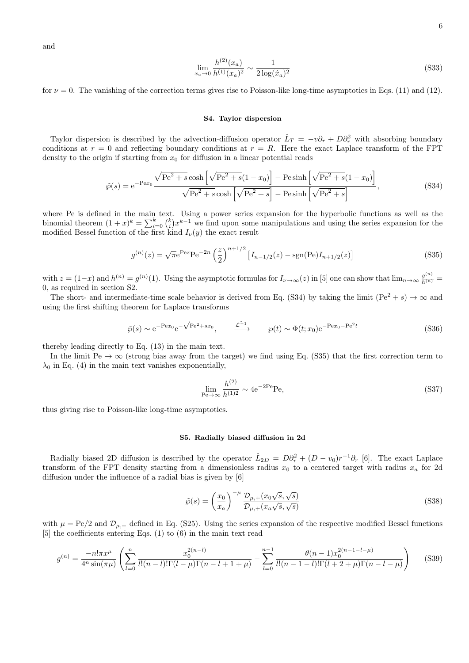and

$$
\lim_{x_a \to 0} \frac{h^{(2)}(x_a)}{h^{(1)}(x_a)^2} \sim \frac{1}{2 \log(\hat{x}_a)^2}
$$
\n<sup>(S33)</sup>

for  $\nu = 0$ . The vanishing of the correction terms gives rise to Poisson-like long-time asymptotics in Eqs. (11) and (12).

#### S4. Taylor dispersion

Taylor dispersion is described by the advection-diffusion operator  $\hat{L}_T = -v\partial_r + D\partial_r^2$  with absorbing boundary conditions at  $r = 0$  and reflecting boundary conditions at  $r = R$ . Here the exact Laplace transform of the FPT density to the origin if starting from  $x_0$  for diffusion in a linear potential reads

$$
\tilde{\wp}(s) = e^{-Pex_0} \frac{\sqrt{Pe^2 + s} \cosh\left[\sqrt{Pe^2 + s}(1 - x_0)\right] - P e \sinh\left[\sqrt{Pe^2 + s}(1 - x_0)\right]}{\sqrt{Pe^2 + s} \cosh\left[\sqrt{Pe^2 + s}\right] - P e \sinh\left[\sqrt{Pe^2 + s}\right]},
$$
\n(S34)

where Pe is defined in the main text. Using a power series expansion for the hyperbolic functions as well as the binomial theorem  $(1+x)^k = \sum_{i=0}^k {k \choose i} x^{k-1}$  we find upon some manipulations and using the series expansion for the modified Bessel function of the first kind  $I_{\nu}(y)$  the exact result

$$
g^{(n)}(z) = \sqrt{\pi}e^{\text{Pe}z}\text{Pe}^{-2n}\left(\frac{z}{2}\right)^{n+1/2}\left[I_{n-1/2}(z) - \text{sgn}(\text{Pe})I_{n+1/2}(z)\right]
$$
(S35)

with  $z = (1-x)$  and  $h^{(n)} = g^{(n)}(1)$ . Using the asymptotic formulas for  $I_{\nu \to \infty}(z)$  in [5] one can show that  $\lim_{n \to \infty} \frac{g^{(n)}}{h^{(n)}} =$ 0, as required in section S2.

The short- and intermediate-time scale behavior is derived from Eq. (S34) by taking the limit (Pe<sup>2</sup> + s)  $\rightarrow \infty$  and using the first shifting theorem for Laplace transforms

$$
\tilde{\wp}(s) \sim e^{-\text{P}ex_0} e^{-\sqrt{\text{Pe}^2 + sx_0}}, \qquad \xrightarrow{\mathcal{L}^{-1}} \qquad \wp(t) \sim \Phi(t; x_0) e^{-\text{P}ex_0 - \text{Pe}^2 t}
$$
\n(S36)

thereby leading directly to Eq. (13) in the main text.

In the limit  $Pe \to \infty$  (strong bias away from the target) we find using Eq. (S35) that the first correction term to  $\lambda_0$  in Eq. (4) in the main text vanishes exponentially,

$$
\lim_{\text{Pe}\to\infty} \frac{h^{(2)}}{h^{(1)2}} \sim 4e^{-2\text{Pe}}\text{Pe},\tag{S37}
$$

thus giving rise to Poisson-like long-time asymptotics.

#### S5. Radially biased diffusion in 2d

Radially biased 2D diffusion is described by the operator  $\hat{L}_{2D} = D\partial_r^2 + (D - v_0)r^{-1}\partial_r$  [6]. The exact Laplace transform of the FPT density starting from a dimensionless radius  $x_0$  to a centered target with radius  $x_a$  for 2d diffusion under the influence of a radial bias is given by [6]

$$
\tilde{\wp}(s) = \left(\frac{x_0}{x_a}\right)^{-\mu} \frac{\mathcal{D}_{\mu,+}(x_0\sqrt{s},\sqrt{s})}{\mathcal{D}_{\mu,+}(x_a\sqrt{s},\sqrt{s})}
$$
\n(S38)

with  $\mu = Pe/2$  and  $\mathcal{D}_{\mu,+}$  defined in Eq. (S25). Using the series expansion of the respective modified Bessel functions [5] the coefficients entering Eqs. (1) to (6) in the main text read

$$
g^{(n)} = \frac{-n!\pi x^{\mu}}{4^n \sin(\pi\mu)} \left( \sum_{l=0}^n \frac{x_0^{2(n-l)}}{l!(n-l)!\Gamma(l-\mu)\Gamma(n-l+1+\mu)} - \sum_{l=0}^{n-1} \frac{\theta(n-1)x_0^{2(n-1-l-\mu)}}{l!(n-1-l)!\Gamma(l+2+\mu)\Gamma(n-l-\mu)} \right) \tag{S39}
$$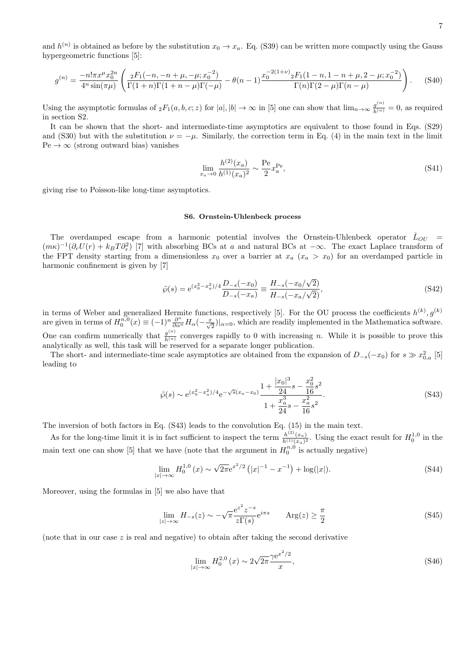and  $h^{(n)}$  is obtained as before by the substitution  $x_0 \to x_a$ . Eq. (S39) can be written more compactly using the Gauss hypergeometric functions [5]:

$$
g^{(n)} = \frac{-n!\pi x^{\mu}x_0^{2n}}{4^n\sin(\pi\mu)} \left( \frac{{}_2F_1(-n,-n+\mu,-\mu;x_0^{-2})}{\Gamma(1+n)\Gamma(1+n-\mu)\Gamma(-\mu)} - \theta(n-1)\frac{{}_3\pi^{-(2(1+\nu)}{}_{2}F_1(1-n,1-n+\mu,2-\mu;x_0^{-2})}{\Gamma(n)\Gamma(2-\mu)\Gamma(n-\mu)} \right). \tag{S40}
$$

Using the asymptotic formulas of  ${}_2F_1(a, b, c; z)$  for  $|a|, |b| \to \infty$  in [5] one can show that  $\lim_{n\to\infty} \frac{g^{(n)}}{h^{(n)}} = 0$ , as required in section S2.

It can be shown that the short- and intermediate-time asymptotics are equivalent to those found in Eqs. (S29) and (S30) but with the substitution  $\nu = -\mu$ . Similarly, the correction term in Eq. (4) in the main text in the limit  $Pe \rightarrow \infty$  (strong outward bias) vanishes

$$
\lim_{x_a \to 0} \frac{h^{(2)}(x_a)}{h^{(1)}(x_a)^2} \sim \frac{\text{Pe}}{2} x_a^{\text{Pe}},\tag{S41}
$$

giving rise to Poisson-like long-time asymptotics.

#### S6. Ornstein-Uhlenbeck process

The overdamped escape from a harmonic potential involves the Ornstein-Uhlenbeck operator  $\hat{L}_{OU}$  =  $(m\kappa)^{-1}(\partial_r U(r) + k_B T \partial_r^2)$  [7] with absorbing BCs at a and natural BCs at  $-\infty$ . The exact Laplace transform of the FPT density starting from a dimensionless  $x_0$  over a barrier at  $x_a$  ( $x_a > x_0$ ) for an overdamped particle in harmonic confinement is given by [7]

$$
\tilde{\wp}(s) = e^{(x_0^2 - x_a^2)/4} \frac{D_{-s}(-x_0)}{D_{-s}(-x_a)} \equiv \frac{H_{-s}(-x_0/\sqrt{2})}{H_{-s}(-x_a/\sqrt{2})},\tag{S42}
$$

in terms of Weber and generalized Hermite functions, respectively [5]. For the OU process the coefficients  $h^{(k)}$ ,  $g^{(k)}$ are given in terms of  $H_0^{\tilde{n},0}(x) \equiv (-1)^n \frac{\partial^n}{\partial \alpha^n} H_\alpha(-\frac{x}{\sqrt{2}})|_{\alpha=0}$ , which are readily implemented in the Mathematica software. One can confirm numerically that  $\frac{g^{(n)}}{h^{(n)}}$  converges rapidly to 0 with increasing n. While it is possible to prove this analytically as well, this task will be reserved for a separate longer publication.

The short- and intermediate-time scale asymptotics are obtained from the expansion of  $D_{-s}(-x_0)$  for  $s \gg x_{0,a}^2$  [5] leading to

$$
\tilde{\wp}(s) \sim e^{(x_0^2 - x_a^2)/4} e^{-\sqrt{s}(x_a - x_0)} \frac{1 + \frac{|x_0|^3}{24} s - \frac{x_0^2}{16} s^2}{1 + \frac{x_a^3}{24} s - \frac{x_a^2}{16} s^2}.
$$
\n
$$
(S43)
$$

The inversion of both factors in Eq. (S43) leads to the convolution Eq. (15) in the main text.

As for the long-time limit it is in fact sufficient to inspect the term  $\frac{h^{(2)}(x_a)}{h^{(1)}(x_a)}$  $\frac{h^{(2)}(x_a)}{h^{(1)}(x_a)^2}$ . Using the exact result for  $H_0^{1,0}$  in the main text one can show [5] that we have (note that the argument in  $H_0^{n,0}$  is actually negative)

$$
\lim_{|x| \to \infty} H_0^{1,0}(x) \sim \sqrt{2\pi} e^{x^2/2} \left( |x|^{-1} - x^{-1} \right) + \log(|x|). \tag{S44}
$$

Moreover, using the formulas in [5] we also have that

$$
\lim_{|z| \to \infty} H_{-s}(z) \sim -\sqrt{\pi} \frac{e^{z^2} z^{-s}}{z \Gamma(s)} e^{i\pi s} \qquad \text{Arg}(z) \ge \frac{\pi}{2}
$$
\n
$$
(S45)
$$

(note that in our case  $z$  is real and negative) to obtain after taking the second derivative

$$
\lim_{|x| \to \infty} H_0^{2,0}(x) \sim 2\sqrt{2\pi} \frac{\gamma e^{x^2/2}}{x},\tag{S46}
$$